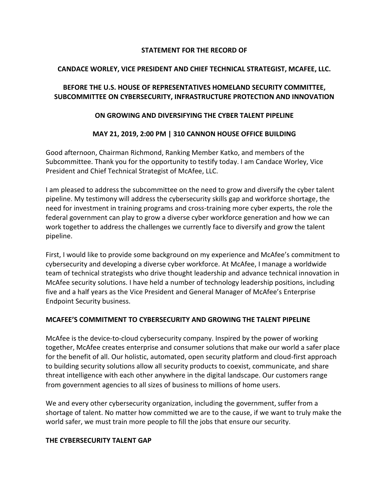#### **STATEMENT FOR THE RECORD OF**

#### **CANDACE WORLEY, VICE PRESIDENT AND CHIEF TECHNICAL STRATEGIST, MCAFEE, LLC.**

# **BEFORE THE U.S. HOUSE OF REPRESENTATIVES HOMELAND SECURITY COMMITTEE, SUBCOMMITTEE ON CYBERSECURITY, INFRASTRUCTURE PROTECTION AND INNOVATION**

### **ON GROWING AND DIVERSIFYING THE CYBER TALENT PIPELINE**

# **MAY 21, 2019, 2:00 PM | 310 CANNON HOUSE OFFICE BUILDING**

Good afternoon, Chairman Richmond, Ranking Member Katko, and members of the Subcommittee. Thank you for the opportunity to testify today. I am Candace Worley, Vice President and Chief Technical Strategist of McAfee, LLC.

I am pleased to address the subcommittee on the need to grow and diversify the cyber talent pipeline. My testimony will address the cybersecurity skills gap and workforce shortage, the need for investment in training programs and cross-training more cyber experts, the role the federal government can play to grow a diverse cyber workforce generation and how we can work together to address the challenges we currently face to diversify and grow the talent pipeline.

First, I would like to provide some background on my experience and McAfee's commitment to cybersecurity and developing a diverse cyber workforce. At McAfee, I manage a worldwide team of technical strategists who drive thought leadership and advance technical innovation in McAfee security solutions. I have held a number of technology leadership positions, including five and a half years as the Vice President and General Manager of McAfee's Enterprise Endpoint Security business.

# **MCAFEE'S COMMITMENT TO CYBERSECURITY AND GROWING THE TALENT PIPELINE**

McAfee is the device-to-cloud cybersecurity company. Inspired by the power of working together, McAfee creates enterprise and consumer solutions that make our world a safer place for the benefit of all. Our holistic, automated, open security platform and cloud-first approach to building security solutions allow all security products to coexist, communicate, and share threat intelligence with each other anywhere in the digital landscape. Our customers range from government agencies to all sizes of business to millions of home users.

We and every other cybersecurity organization, including the government, suffer from a shortage of talent. No matter how committed we are to the cause, if we want to truly make the world safer, we must train more people to fill the jobs that ensure our security.

#### **THE CYBERSECURITY TALENT GAP**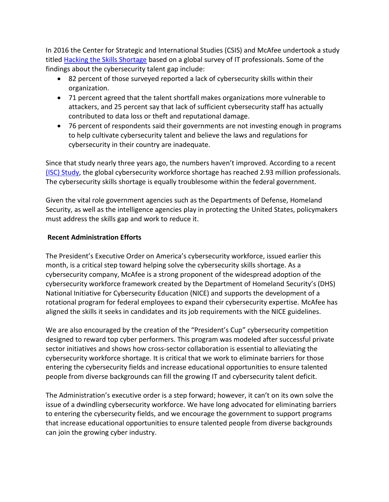In 2016 the Center for Strategic and International Studies (CSIS) and McAfee undertook a study titled [Hacking the Skills Shortage](https://www.mcafee.com/enterprise/en-us/assets/executive-summaries/es-hacking-skills-shortage-financial-services.pdf) based on a global survey of IT professionals. Some of the findings about the cybersecurity talent gap include:

- 82 percent of those surveyed reported a lack of cybersecurity skills within their organization.
- 71 percent agreed that the talent shortfall makes organizations more vulnerable to attackers, and 25 percent say that lack of sufficient cybersecurity staff has actually contributed to data loss or theft and reputational damage.
- 76 percent of respondents said their governments are not investing enough in programs to help cultivate cybersecurity talent and believe the laws and regulations for cybersecurity in their country are inadequate.

Since that study nearly three years ago, the numbers haven't improved. According to a recent [\(ISC\) Study,](https://www.isc2.org/-/media/ISC2/Research/2018-ISC2-Cybersecurity-Workforce-Study.ashx?la=en&hash=4E09681D0FB51698D9BA6BF13EEABFA48BD17DB0) the global cybersecurity workforce shortage has reached 2.93 million professionals. The cybersecurity skills shortage is equally troublesome within the federal government.

Given the vital role government agencies such as the Departments of Defense, Homeland Security, as well as the intelligence agencies play in protecting the United States, policymakers must address the skills gap and work to reduce it.

# **Recent Administration Efforts**

The President's Executive Order on America's cybersecurity workforce, issued earlier this month, is a critical step toward helping solve the cybersecurity skills shortage. As a cybersecurity company, McAfee is a strong proponent of the widespread adoption of the cybersecurity workforce framework created by the Department of Homeland Security's (DHS) National Initiative for Cybersecurity Education (NICE) and supports the development of a rotational program for federal employees to expand their cybersecurity expertise. McAfee has aligned the skills it seeks in candidates and its job requirements with the NICE guidelines.

We are also encouraged by the creation of the "President's Cup" cybersecurity competition designed to reward top cyber performers. This program was modeled after successful private sector initiatives and shows how cross-sector collaboration is essential to alleviating the cybersecurity workforce shortage. It is critical that we work to eliminate barriers for those entering the cybersecurity fields and increase educational opportunities to ensure talented people from diverse backgrounds can fill the growing IT and cybersecurity talent deficit.

The Administration's executive order is a step forward; however, it can't on its own solve the issue of a dwindling cybersecurity workforce. We have long advocated for eliminating barriers to entering the cybersecurity fields, and we encourage the government to support programs that increase educational opportunities to ensure talented people from diverse backgrounds can join the growing cyber industry.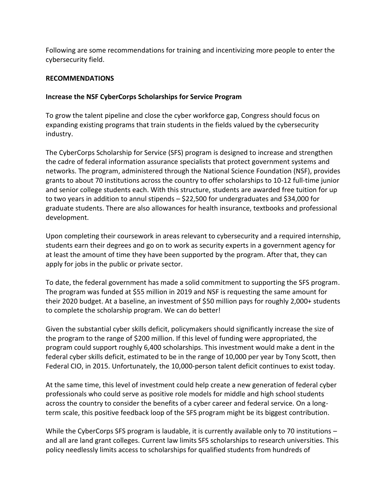Following are some recommendations for training and incentivizing more people to enter the cybersecurity field.

### **RECOMMENDATIONS**

### **Increase the NSF CyberCorps Scholarships for Service Program**

To grow the talent pipeline and close the cyber workforce gap, Congress should focus on expanding existing programs that train students in the fields valued by the cybersecurity industry.

The CyberCorps Scholarship for Service (SFS) program is designed to increase and strengthen the cadre of federal information assurance specialists that protect government systems and networks. The program, administered through the National Science Foundation (NSF), provides grants to about 70 institutions across the country to offer scholarships to 10-12 full-time junior and senior college students each. With this structure, students are awarded free tuition for up to two years in addition to annul stipends – \$22,500 for undergraduates and \$34,000 for graduate students. There are also allowances for health insurance, textbooks and professional development.

Upon completing their coursework in areas relevant to cybersecurity and a required internship, students earn their degrees and go on to work as security experts in a government agency for at least the amount of time they have been supported by the program. After that, they can apply for jobs in the public or private sector.

To date, the federal government has made a solid commitment to supporting the SFS program. The program was funded at \$55 million in 2019 and NSF is requesting the same amount for their 2020 budget. At a baseline, an investment of \$50 million pays for roughly 2,000+ students to complete the scholarship program. We can do better!

Given the substantial cyber skills deficit, policymakers should significantly increase the size of the program to the range of \$200 million. If this level of funding were appropriated, the program could support roughly 6,400 scholarships. This investment would make a dent in the federal cyber skills deficit, estimated to be in the range of 10,000 per year by Tony Scott, then Federal CIO, in 2015. Unfortunately, the 10,000-person talent deficit continues to exist today.

At the same time, this level of investment could help create a new generation of federal cyber professionals who could serve as positive role models for middle and high school students across the country to consider the benefits of a cyber career and federal service. On a longterm scale, this positive feedback loop of the SFS program might be its biggest contribution.

While the CyberCorps SFS program is laudable, it is currently available only to 70 institutions – and all are land grant colleges. Current law limits SFS scholarships to research universities. This policy needlessly limits access to scholarships for qualified students from hundreds of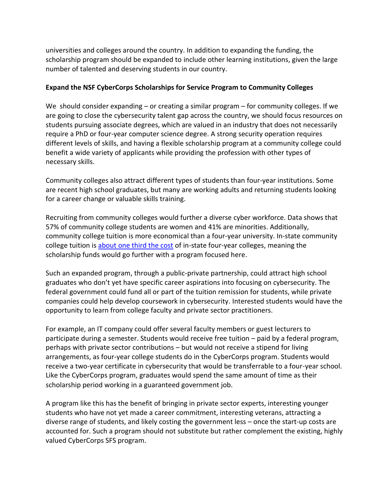universities and colleges around the country. In addition to expanding the funding, the scholarship program should be expanded to include other learning institutions, given the large number of talented and deserving students in our country.

### **Expand the NSF CyberCorps Scholarships for Service Program to Community Colleges**

We should consider expanding – or creating a similar program – for community colleges. If we are going to close the cybersecurity talent gap across the country, we should focus resources on students pursuing associate degrees, which are valued in an industry that does not necessarily require a PhD or four-year computer science degree. A strong security operation requires different levels of skills, and having a flexible scholarship program at a community college could benefit a wide variety of applicants while providing the profession with other types of necessary skills.

Community colleges also attract different types of students than four-year institutions. Some are recent high school graduates, but many are working adults and returning students looking for a career change or valuable skills training.

Recruiting from community colleges would further a diverse cyber workforce. Data shows that 57% of community college students are women and 41% are minorities. Additionally, community college tuition is more economical than a four-year university. In-state community college tuition is [about one third the cost](https://bigfuture.collegeboard.org/pay-for-college/college-costs/college-costs-faqs) of in-state four-year colleges, meaning the scholarship funds would go further with a program focused here.

Such an expanded program, through a public-private partnership, could attract high school graduates who don't yet have specific career aspirations into focusing on cybersecurity. The federal government could fund all or part of the tuition remission for students, while private companies could help develop coursework in cybersecurity. Interested students would have the opportunity to learn from college faculty and private sector practitioners.

For example, an IT company could offer several faculty members or guest lecturers to participate during a semester. Students would receive free tuition – paid by a federal program, perhaps with private sector contributions – but would not receive a stipend for living arrangements, as four-year college students do in the CyberCorps program. Students would receive a two-year certificate in cybersecurity that would be transferrable to a four-year school. Like the CyberCorps program, graduates would spend the same amount of time as their scholarship period working in a guaranteed government job.

A program like this has the benefit of bringing in private sector experts, interesting younger students who have not yet made a career commitment, interesting veterans, attracting a diverse range of students, and likely costing the government less – once the start-up costs are accounted for. Such a program should not substitute but rather complement the existing, highly valued CyberCorps SFS program.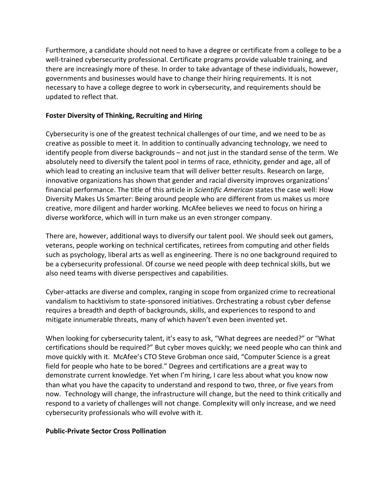Furthermore, a candidate should not need to have a degree or certificate from a college to be a well-trained cybersecurity professional. Certificate programs provide valuable training, and there are increasingly more of these. In order to take advantage of these individuals, however, governments and businesses would have to change their hiring requirements. It is not necessary to have a college degree to work in cybersecurity, and requirements should be updated to reflect that.

### **Foster Diversity of Thinking, Recruiting and Hiring**

Cybersecurity is one of the greatest technical challenges of our time, and we need to be as creative as possible to meet it. In addition to continually advancing technology, we need to identify people from diverse backgrounds – and not just in the standard sense of the term. We absolutely need to diversify the talent pool in terms of race, ethnicity, gender and age, all of which lead to creating an inclusive team that will deliver better results. Research on large, innovative organizations has shown that gender and racial diversity improves organizations' financial performance. The title of this article in *Scientific American* states the case well: [How](https://www.scientificamerican.com/article/how-diversity-makes-us-smarter/)  [Diversity Makes Us Smarter: Being around people who are different from us makes us more](https://www.scientificamerican.com/article/how-diversity-makes-us-smarter/)  [creative, more diligent and harder working.](https://www.scientificamerican.com/article/how-diversity-makes-us-smarter/) McAfee believes we need to focus on hiring a diverse workforce, which will in turn make us an even stronger company.

There are, however, additional ways to diversify our talent pool. We should seek out gamers, veterans, people working on technical certificates, retirees from computing and other fields such as psychology, liberal arts as well as engineering. There is no one background required to be a cybersecurity professional. Of course we need people with deep technical skills, but we also need teams with diverse perspectives and capabilities.

Cyber-attacks are diverse and complex, ranging in scope from organized crime to recreational vandalism to hacktivism to state-sponsored initiatives. Orchestrating a robust cyber defense requires a breadth and depth of backgrounds, skills, and experiences to respond to and mitigate innumerable threats, many of which haven't even been invented yet.

When looking for cybersecurity talent, it's easy to ask, "What degrees are needed?" or "What certifications should be required?" But cyber moves quickly; we need people who can think and move quickly with it. McAfee's CTO Steve Grobman once said, "Computer Science is a great field for people who hate to be bored." Degrees and certifications are a great way to demonstrate current knowledge. Yet when I'm hiring, I care less about what you know now than what you have the capacity to understand and respond to two, three, or five years from now. Technology will change, the infrastructure will change, but the need to think critically and respond to a variety of challenges will not change. Complexity will only increase, and we need cybersecurity professionals who will evolve with it.

#### **Public-Private Sector Cross Pollination**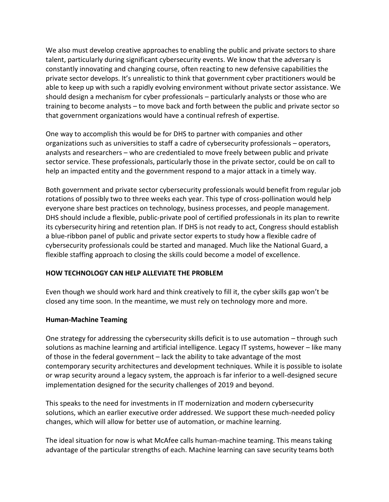We also must develop creative approaches to enabling the public and private sectors to share talent, particularly during significant cybersecurity events. We know that the adversary is constantly innovating and changing course, often reacting to new defensive capabilities the private sector develops. It's unrealistic to think that government cyber practitioners would be able to keep up with such a rapidly evolving environment without private sector assistance. We should design a mechanism for cyber professionals – particularly analysts or those who are training to become analysts – to move back and forth between the public and private sector so that government organizations would have a continual refresh of expertise.

One way to accomplish this would be for DHS to partner with companies and other organizations such as universities to staff a cadre of cybersecurity professionals – operators, analysts and researchers – who are credentialed to move freely between public and private sector service. These professionals, particularly those in the private sector, could be on call to help an impacted entity and the government respond to a major attack in a timely way.

Both government and private sector cybersecurity professionals would benefit from regular job rotations of possibly two to three weeks each year. This type of cross-pollination would help everyone share best practices on technology, business processes, and people management. DHS should include a flexible, public-private pool of certified professionals in its plan to rewrite its cybersecurity hiring and retention plan. If DHS is not ready to act, Congress should establish a blue-ribbon panel of public and private sector experts to study how a flexible cadre of cybersecurity professionals could be started and managed. Much like the National Guard, a flexible staffing approach to closing the skills could become a model of excellence.

# **HOW TECHNOLOGY CAN HELP ALLEVIATE THE PROBLEM**

Even though we should work hard and think creatively to fill it, the cyber skills gap won't be closed any time soon. In the meantime, we must rely on technology more and more.

#### **Human-Machine Teaming**

One strategy for addressing the cybersecurity skills deficit is to use automation – through such solutions as machine learning and artificial intelligence. Legacy IT systems, however – like many of those in the federal government – lack the ability to take advantage of the most contemporary security architectures and development techniques. While it is possible to isolate or wrap security around a legacy system, the approach is far inferior to a well-designed secure implementation designed for the security challenges of 2019 and beyond.

This speaks to the need for investments in IT modernization and modern cybersecurity solutions, which an earlier executive order addressed. We support these much-needed policy changes, which will allow for better use of automation, or machine learning.

The ideal situation for now is what McAfee calls human-machine teaming. This means taking advantage of the particular strengths of each. Machine learning can save security teams both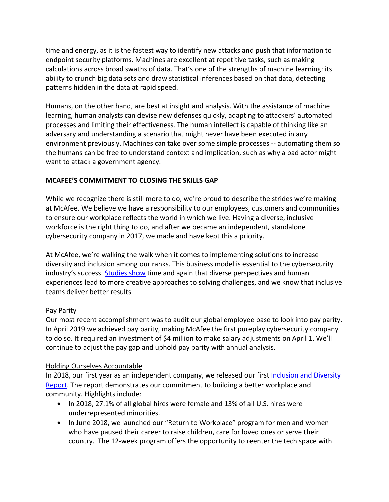time and energy, as it is the fastest way to identify new attacks and push that information to endpoint security platforms. Machines are excellent at repetitive tasks, such as making calculations across broad swaths of data. That's one of the strengths of machine learning: its ability to crunch big data sets and draw statistical inferences based on that data, detecting patterns hidden in the data at rapid speed.

Humans, on the other hand, are best at insight and analysis. With the assistance of machine learning, human analysts can devise new defenses quickly, adapting to attackers' automated processes and limiting their effectiveness. The human intellect is capable of thinking like an adversary and understanding a scenario that might never have been executed in any environment previously. Machines can take over some simple processes -- automating them so the humans can be free to understand context and implication, such as why a bad actor might want to attack a government agency.

# **MCAFEE'S COMMITMENT TO CLOSING THE SKILLS GAP**

While we recognize there is still more to do, we're proud to describe the strides we're making at McAfee. We believe we have a responsibility to our employees, customers and communities to ensure our workplace reflects the world in which we live. Having a diverse, inclusive workforce is the right thing to do, and after we became an independent, standalone cybersecurity company in 2017, we made and have kept this a priority.

At McAfee, we're walking the walk when it comes to implementing solutions to increase diversity and inclusion among our ranks. This business model is essential to the cybersecurity industry's success. [Studies show](https://www.fastcompany.com/40515712/want-a-more-innovative-company-simple-hire-a-more-diverse-workforce) time and again that diverse perspectives and human experiences lead to more creative approaches to solving challenges, and we know that inclusive teams deliver better results.

# Pay Parity

Our most recent accomplishment was to audit our global employee base to look into pay parity. In April 2019 we achieved pay parity, making McAfee the first pureplay cybersecurity company to do so. It required an investment of \$4 million to make salary adjustments on April 1. We'll continue to adjust the pay gap and uphold pay parity with annual analysis.

# Holding Ourselves Accountable

In 2018, our first year as an independent company, we released our first Inclusion and Diversity [Report.](https://www.mcafee.com/enterprise/en-us/assets/reports/rp-mcafee-inclusion-diversity-report-2018.pdf) The report demonstrates our commitment to building a better workplace and community. Highlights include:

- In 2018, 27.1% of all global hires were female and 13% of all U.S. hires were underrepresented minorities.
- In June 2018, we launched our "Return to Workplace" program for men and women who have paused their career to raise children, care for loved ones or serve their country. The 12-week program offers the opportunity to reenter the tech space with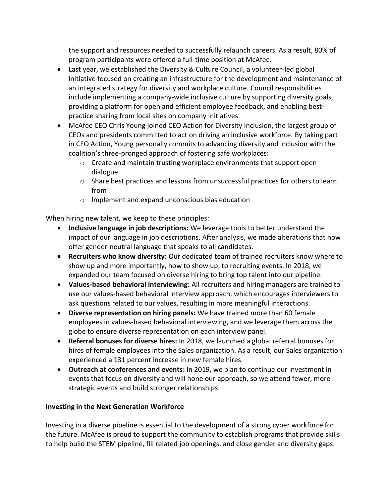the support and resources needed to successfully relaunch careers. As a result, 80% of program participants were offered a full-time position at McAfee.

- Last year, we established the Diversity & Culture Council, a volunteer-led global initiative focused on creating an infrastructure for the development and maintenance of an integrated strategy for diversity and workplace culture. Council responsibilities include implementing a company-wide inclusive culture by supporting diversity goals, providing a platform for open and efficient employee feedback, and enabling bestpractice sharing from local sites on company initiatives.
- McAfee CEO Chris Young joined CEO Action for Diversity Inclusion, the largest group of CEOs and presidents committed to act on driving an inclusive workforce. By taking part in CEO Action, Young personally commits to advancing diversity and inclusion with the coalition's three-pronged approach of fostering safe workplaces:
	- o Create and maintain trusting workplace environments that support open dialogue
	- o Share best practices and lessons from unsuccessful practices for others to learn from
	- o Implement and expand unconscious bias education

When hiring new talent, we keep to these principles:

- **Inclusive language in job descriptions:** We leverage tools to better understand the impact of our language in job descriptions. After analysis, we made alterations that now offer gender-neutral language that speaks to all candidates.
- **Recruiters who know diversity:** Our dedicated team of trained recruiters know where to show up and more importantly, how to show up, to recruiting events. In 2018, we expanded our team focused on diverse hiring to bring top talent into our pipeline.
- **Values-based behavioral interviewing:** All recruiters and hiring managers are trained to use our values-based behavioral interview approach, which encourages interviewers to ask questions related to our values, resulting in more meaningful interactions.
- **Diverse representation on hiring panels:** We have trained more than 60 female employees in values-based behavioral interviewing, and we leverage them across the globe to ensure diverse representation on each interview panel.
- **Referral bonuses for diverse hires:** In 2018, we launched a global referral bonuses for hires of female employees into the Sales organization. As a result, our Sales organization experienced a 131 percent increase in new female hires.
- **Outreach at conferences and events:** In 2019, we plan to continue our investment in events that focus on diversity and will hone our approach, so we attend fewer, more strategic events and build stronger relationships.

# **Investing in the Next Generation Workforce**

Investing in a diverse pipeline is essential to the development of a strong cyber workforce for the future. McAfee is proud to support the community to establish programs that provide skills to help build the STEM pipeline, fill related job openings, and close gender and diversity gaps.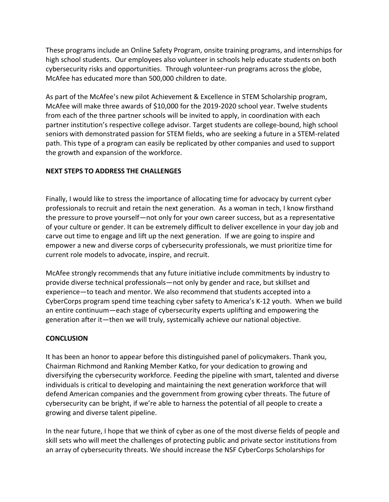These programs include an Online Safety Program, onsite training programs, and internships for high school students. Our employees also volunteer in schools help educate students on both cybersecurity risks and opportunities. Through volunteer-run programs across the globe, McAfee has educated more than 500,000 children to date.

As part of the McAfee's new pilot Achievement & Excellence in STEM Scholarship program, McAfee will make three awards of \$10,000 for the 2019-2020 school year. Twelve students from each of the three partner schools will be invited to apply, in coordination with each partner institution's respective college advisor. Target students are college-bound, high school seniors with demonstrated passion for STEM fields, who are seeking a future in a STEM-related path. This type of a program can easily be replicated by other companies and used to support the growth and expansion of the workforce.

### **NEXT STEPS TO ADDRESS THE CHALLENGES**

Finally, I would like to stress the importance of allocating time for advocacy by current cyber professionals to recruit and retain the next generation. As a woman in tech, I know firsthand the pressure to prove yourself—not only for your own career success, but as a representative of your culture or gender. It can be extremely difficult to deliver excellence in your day job and carve out time to engage and lift up the next generation. If we are going to inspire and empower a new and diverse corps of cybersecurity professionals, we must prioritize time for current role models to advocate, inspire, and recruit.

McAfee strongly recommends that any future initiative include commitments by industry to provide diverse technical professionals—not only by gender and race, but skillset and experience—to teach and mentor. We also recommend that students accepted into a CyberCorps program spend time teaching cyber safety to America's K-12 youth. When we build an entire continuum—each stage of cybersecurity experts uplifting and empowering the generation after it—then we will truly, systemically achieve our national objective.

#### **CONCLUSION**

It has been an honor to appear before this distinguished panel of policymakers. Thank you, Chairman Richmond and Ranking Member Katko, for your dedication to growing and diversifying the cybersecurity workforce. Feeding the pipeline with smart, talented and diverse individuals is critical to developing and maintaining the next generation workforce that will defend American companies and the government from growing cyber threats. The future of cybersecurity can be bright, if we're able to harness the potential of all people to create a growing and diverse talent pipeline.

In the near future, I hope that we think of cyber as one of the most diverse fields of people and skill sets who will meet the challenges of protecting public and private sector institutions from an array of cybersecurity threats. We should increase the NSF CyberCorps Scholarships for